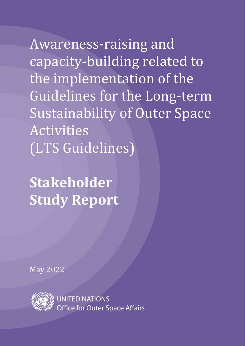Awareness-raising and capacity-building related to the implementation of the Guidelines for the Long-term Sustainability of Outer Space Activities (LTS Guidelines)

**Stakeholder Study Report**

May 2022



**UNITED NATIONS** Office for Outer Space Affairs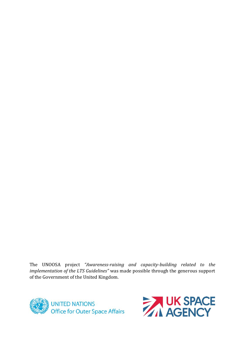The UNOOSA project *"Awareness-raising and capacity-building related to the implementation of the LTS Guidelines"* was made possible through the generous support of the Government of the United Kingdom.



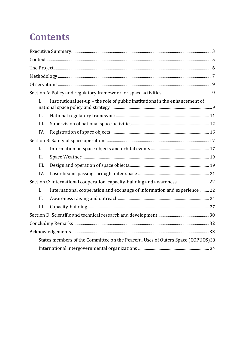# **Contents**

| L                                                                               | Institutional set-up - the role of public institutions in the enhancement of |  |
|---------------------------------------------------------------------------------|------------------------------------------------------------------------------|--|
| II.                                                                             |                                                                              |  |
| III.                                                                            |                                                                              |  |
| IV.                                                                             |                                                                              |  |
|                                                                                 |                                                                              |  |
| $\mathbf{I}$ .                                                                  |                                                                              |  |
| II.                                                                             |                                                                              |  |
| III.                                                                            |                                                                              |  |
| IV.                                                                             |                                                                              |  |
| Section C: International cooperation, capacity-building and awareness 22        |                                                                              |  |
| $\mathbf{I}$ .                                                                  | International cooperation and exchange of information and experience  22     |  |
| II.                                                                             |                                                                              |  |
| III.                                                                            |                                                                              |  |
|                                                                                 |                                                                              |  |
|                                                                                 |                                                                              |  |
|                                                                                 |                                                                              |  |
| States members of the Committee on the Peaceful Uses of Outers Space (COPUOS)33 |                                                                              |  |
|                                                                                 |                                                                              |  |
|                                                                                 |                                                                              |  |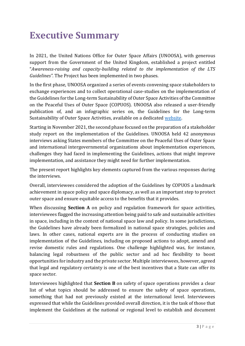# <span id="page-3-0"></span>**Executive Summary**

In 2021, the United Nations Office for Outer Space Affairs (UNOOSA), with generous support from the Government of the United Kingdom, established a project entitled "*Awareness-raising and capacity-building related to the implementation of the LTS Guidelines".* The Project has been implemented in two phases.

In the first phase, UNOOSA organized a series of events convening space stakeholders to exchange experiences and to collect operational case-studies on the implementation of the Guidelines for the Long-term Sustainability of Outer Space Activities of the Committee on the Peaceful Uses of Outer Space (COPUOS). UNOOSA also released a user-friendly publication of, and an infographic series on, the Guidelines for the Long-term Sustainability of Outer Space Activities, available on a dedicated [website.](https://spacesustainability.unoosa.org/)

Starting in November 2021, the second phase focused on the preparation of a stakeholder study report on the implementation of the Guidelines. UNOOSA held 42 anonymous interviews asking States members of the Committee on the Peaceful Uses of Outer Space and international intergovernmental organizations about implementation experiences, challenges they had faced in implementing the Guidelines, actions that might improve implementation, and assistance they might need for further implementation.

The present report highlights key elements captured from the various responses during the interviews.

Overall, interviewees considered the adoption of the Guidelines by COPUOS a landmark achievement in space policy and space diplomacy, as well as an important step to protect outer space and ensure equitable access to the benefits that it provides.

When discussing **Section A** on policy and regulation framework for space activities*,* interviewees flagged the increasing attention being paid to safe and sustainable activities in space, including in the context of national space law and policy. In some jurisdictions, the Guidelines have already been formalized in national space strategies, policies and laws. In other cases, national experts are in the process of conducting studies on implementation of the Guidelines, including on proposed actions to adopt, amend and revise domestic rules and regulations. One challenge highlighted was, for instance, balancing legal robustness of the public sector and ad hoc flexibility to boost opportunities for industry and the private sector. Multiple interviewees, however, agreed that legal and regulatory certainty is one of the best incentives that a State can offer its space sector.

Interviewees highlighted that **Section B** on safety of space operations provides a clear list of what topics should be addressed to ensure the safety of space operations, something that had not previously existed at the international level. Interviewees expressed that while the Guidelines provided overall direction, it is the task of those that implement the Guidelines at the national or regional level to establish and document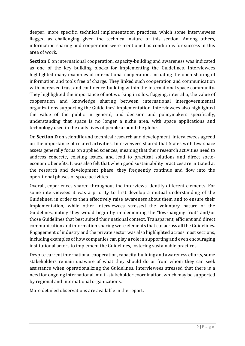deeper, more specific, technical implementation practices, which some interviewees flagged as challenging given the technical nature of this section. Among others, information sharing and cooperation were mentioned as conditions for success in this area of work.

**Section C** on international cooperation, capacity-building and awareness was indicated as one of the key building blocks for implementing the Guidelines. Interviewees highlighted many examples of international cooperation, including the open sharing of information and tools free of charge. They linked such cooperation and communication with increased trust and confidence-building within the international space community. They highlighted the importance of not working in silos, flagging, inter alia, the value of cooperation and knowledge sharing between international intergovernmental organizations supporting the Guidelines' implementation. Interviewees also highlighted the value of the public in general, and decision and policymakers specifically, understanding that space is no longer a niche area, with space applications and technology used in the daily lives of people around the globe.

On **Section D** on scientific and technical research and development, interviewees agreed on the importance of related activities. Interviewees shared that States with few space assets generally focus on applied sciences, meaning that their research activities need to address concrete, existing issues, and lead to practical solutions and direct socioeconomic benefits. It was also felt that when good sustainability practices are initiated at the research and development phase, they frequently continue and flow into the operational phases of space activities.

Overall, experiences shared throughout the interviews identify different elements. For some interviewees it was a priority to first develop a mutual understanding of the Guidelines, in order to then effectively raise awareness about them and to ensure their implementation, while other interviewees stressed the voluntary nature of the Guidelines, noting they would begin by implementing the "low-hanging fruit" and/or those Guidelines that best suited their national context. Transparent, efficient and direct communication and information sharing were elements that cut across all the Guidelines. Engagement of industry and the private sector was also highlighted across most sections, including examples of how companies can play a role in supporting and even encouraging institutional actors to implement the Guidelines, fostering sustainable practices.

Despite current international cooperation, capacity-building and awareness efforts, some stakeholders remain unaware of what they should do or from whom they can seek assistance when operationalizing the Guidelines. Interviewees stressed that there is a need for ongoing international, multi-stakeholder coordination, which may be supported by regional and international organizations.

More detailed observations are available in the report.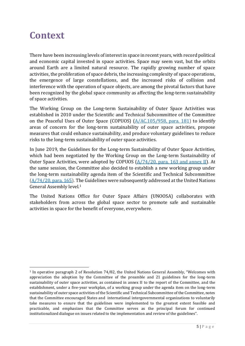### <span id="page-5-0"></span>**Context**

There have been increasing levels of interest in space in recent years, with record political and economic capital invested in space activities. Space may seem vast, but the orbits around Earth are a limited natural resource. The rapidly growing number of space activities, the proliferation of space debris, the increasing complexity of space operations, the emergence of large constellations, and the increased risks of collision and interference with the operation of space objects, are among the pivotal factors that have been recognized by the global space community as affecting the long-term sustainability of space activities.

The Working Group on the Long-term Sustainability of Outer Space Activities was established in 2010 under the Scientific and Technical Subcommittee of the Committee on the Peaceful Uses of Outer Space (COPUOS) [\(A/AC.105/958, para. 181\)](https://www.unoosa.org/oosa/oosadoc/data/documents/2010/aac.105/aac.105958_0.html) to identify areas of concern for the long-term sustainability of outer space activities, propose measures that could enhance sustainability, and produce voluntary guidelines to reduce risks to the long-term sustainability of outer space activities.

In June 2019, the Guidelines for the Long-term Sustainability of Outer Space Activities, which had been negotiated by the Working Group on the Long-term Sustainability of Outer Space Activities, were adopted by COPUOS [\(A/74/20, para. 163 and annex II\)](https://www.unoosa.org/oosa/oosadoc/data/documents/2019/a/a7420_0.html). At the same session, the Committee also decided to establish a new working group under the long-term sustainability agenda item of the Scientific and Technical Subcommittee  $(A/74/20,$  para. 165). The Guidelines were subsequently addressed at the United Nations General Assembly level. 1

The United Nations Office for Outer Space Affairs (UNOOSA) collaborates with stakeholders from across the global space sector to promote safe and sustainable activities in space for the benefit of everyone, everywhere.

<sup>&</sup>lt;sup>1</sup> In operative paragraph 2 of Resolution 74/82, the United Nations General Assembly, "Welcomes with appreciation the adoption by the Committee of the preamble and 21 guidelines for the long-term sustainability of outer space activities, as contained in annex II to the report of the Committee, and the establishment, under a five-year workplan, of a working group under the agenda item on the long-term sustainability of outer space activities of the Scientific and Technical Subcommittee of the Committee, notes that the Committee encouraged States and international intergovernmental organizations to voluntarily take measures to ensure that the guidelines were implemented to the greatest extent feasible and practicable, and emphasizes that the Committee serves as the principal forum for continued institutionalized dialogue on issues related to the implementation and review of the guidelines".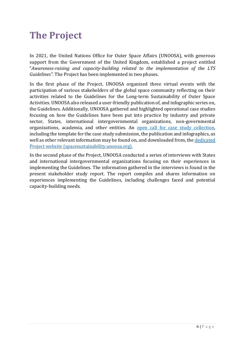### <span id="page-6-0"></span>**The Project**

In 2021, the United Nations Office for Outer Space Affairs (UNOOSA), with generous support from the Government of the United Kingdom, established a project entitled "*Awareness-raising and capacity-building related to the implementation of the LTS Guidelines".* The Project has been implemented in two phases.

In the first phase of the Project, UNOOSA organized three virtual events with the participation of various stakeholders of the global space community reflecting on their activities related to the Guidelines for the Long-term Sustainability of Outer Space Activities. UNOOSA also released a user-friendly publication of, and infographic series on, the Guidelines. Additionally, UNOOSA gathered and highlighted operational case studies focusing on how the Guidelines have been put into practice by industry and private sector, States, international intergovernmental organizations, non-governmental organizations, academia, and other entities. An [open call for case study collection,](https://spacesustainability.unoosa.org/content/multimedia-0) including the template for the case study submission, the publication and infographics, as well as other relevant information may be found on, and downloaded from, the [dedicated](https://spacesustainability.unoosa.org/)  [Project website \(spacesustainability.unoosa.org\).](https://spacesustainability.unoosa.org/)

In the second phase of the Project, UNOOSA conducted a series of interviews with States and international intergovernmental organizations focusing on their experiences in implementing the Guidelines. The information gathered in the interviews is found in the present stakeholder study report. The report compiles and shares information on experiences implementing the Guidelines, including challenges faced and potential capacity-building needs.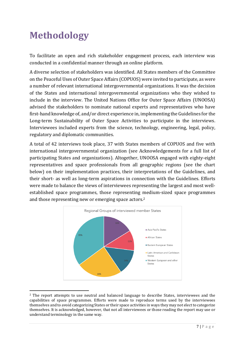# <span id="page-7-0"></span>**Methodology**

To facilitate an open and rich stakeholder engagement process, each interview was conducted in a confidential manner through an online platform.

A diverse selection of stakeholders was identified. All States members of the Committee on the Peaceful Uses of Outer Space Affairs (COPUOS) were invited to participate, as were a number of relevant international intergovernmental organizations. It was the decision of the States and international intergovernmental organizations who they wished to include in the interview. The United Nations Office for Outer Space Affairs (UNOOSA) advised the stakeholders to nominate national experts and representatives who have first-hand knowledge of, and/or direct experience in, implementing the Guidelines for the Long-term Sustainability of Outer Space Activities to participate in the interviews. Interviewees included experts from the science, technology, engineering, legal, policy, regulatory and diplomatic communities.

A total of 42 interviews took place, 37 with States members of COPUOS and five with international intergovernmental organization (see Acknowledgements for a full list of participating States and organizations). Altogether, UNOOSA engaged with eighty-eight representatives and space professionals from all geographic regions (see the chart below) on their implementation practices, their interpretations of the Guidelines, and their short- as well as long-term aspirations in connection with the Guidelines. Efforts were made to balance the views of interviewees representing the largest and most wellestablished space programmes, those representing medium-sized space programmes and those representing new or emerging space actors. 2



<sup>&</sup>lt;sup>2</sup> The report attempts to use neutral and balanced language to describe States, interviewees and the capabilities of space programmes. Efforts were made to reproduce terms used by the interviewees themselves and to avoid categorizing States or their space activities in ways they may not elect to categorize themselves. It is acknowledged, however, that not all interviewees or those reading the report may use or understand terminology in the same way.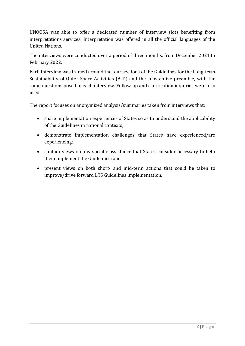UNOOSA was able to offer a dedicated number of interview slots benefiting from interpretations services. Interpretation was offered in all the official languages of the United Nations.

The interviews were conducted over a period of three months, from December 2021 to February 2022.

Each interview was framed around the four sections of the Guidelines for the Long-term Sustainability of Outer Space Activities (A-D) and the substantive preamble, with the same questions posed in each interview. Follow-up and clarification inquiries were also used.

The report focuses on anonymized analysis/summaries taken from interviews that:

- share implementation experiences of States so as to understand the applicability of the Guidelines in national contexts;
- demonstrate implementation challenges that States have experienced/are experiencing;
- contain views on any specific assistance that States consider necessary to help them implement the Guidelines; and
- present views on both short- and mid-term actions that could be taken to improve/drive forward LTS Guidelines implementation.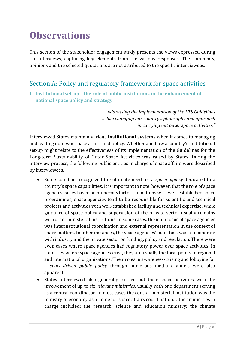# <span id="page-9-0"></span>**Observations**

This section of the stakeholder engagement study presents the views expressed during the interviews, capturing key elements from the various responses. The comments, opinions and the selected quotations are not attributed to the specific interviewees.

### <span id="page-9-1"></span>Section A: Policy and regulatory framework for space activities

<span id="page-9-2"></span>**I. Institutional set-up – the role of public institutions in the enhancement of national space policy and strategy**

> *"Addressing the implementation of the LTS Guidelines is like changing our country's philosophy and approach in carrying out outer space activities."*

Interviewed States maintain various **institutional systems** when it comes to managing and leading domestic space affairs and policy. Whether and how a country's institutional set-up might relate to the effectiveness of its implementation of the Guidelines for the Long-term Sustainability of Outer Space Activities was raised by States. During the interview process, the following public entities in charge of space affairs were described by interviewees.

- Some countries recognized the ultimate need for a *space agency* dedicated to a country's space capabilities. It is important to note, however, that the role of space agencies varies based on numerous factors. In nations with well-established space programmes, space agencies tend to be responsible for scientific and technical projects and activities with well-established facility and technical expertise, while guidance of space policy and supervision of the private sector usually remains with other ministerial institutions. In some cases, the main focus of space agencies was interinstitutional coordination and external representation in the context of space matters. In other instances, the space agencies' main task was to cooperate with industry and the private sector on funding, policy and regulation. There were even cases where space agencies had regulatory power over space activities. In countries where space agencies exist, they are usually the focal points in regional and international organizations. Their roles in awareness-raising and lobbying for a *space-driven public policy* through numerous media channels were also apparent.
- States interviewed also generally carried out their space activities with the involvement of up to *six relevant ministries,* usually with one department serving as a central coordinator. In most cases the central ministerial institution was the ministry of economy as a home for space affairs coordination. Other ministries in charge included: the research, science and education ministry; the climate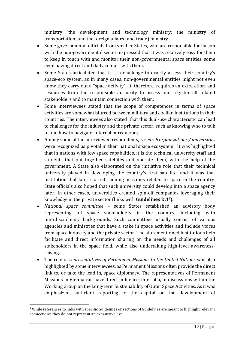ministry; the development and technology ministry; the ministry of transportation; and the foreign affairs (and trade) ministry.

- Some governmental officials from smaller States, who are responsible for liaison with the non-governmental sector, expressed that it was relatively easy for them to keep in touch with and monitor their non-governmental space entities, some even having direct and daily contact with them.
- Some States articulated that it is a challenge to exactly assess their country's space-eco system, as in many cases, non-governmental entities might not even know they carry out a "space activity". It, therefore, requires an extra effort and resources from the responsible authority to assess and register all related stakeholders and to maintain connection with them.
- Some interviewees stated that the scope of competences in terms of space activities are somewhat blurred between military and civilian institutions in their countries. The interviewees also stated that this dual-use characteristic can lead to challenges for the industry and the private sector, such as knowing who to talk to and how to navigate internal bureaucracy.
- Among some of the interviewed respondents, *research organizations / universities* were recognized as pivotal in their national space ecosystem. It was highlighted that in nations with few space capabilities, it is the technical university staff and students that put together satellites and operate them, with the help of the government. A State also elaborated on the initiative role that their technical university played in developing the country's first satellite, and it was that institution that later started running activities related to space in the country. State officials also hoped that such university could develop into a space agency later. In other cases, universities created spin-off companies leveraging their knowledge in the private sector (links with **Guidelines D.1**3).
- *National space committee* some States established an advisory body representing all space stakeholders in the country, including with interdisciplinary backgrounds. Such committees usually consist of various agencies and ministries that have a stake in space activities and include voices from space industry and the private sector. The aforementioned institutions help facilitate and direct information sharing on the needs and challenges of all stakeholders in the space field, while also undertaking high-level awarenessraising.
- The role of *representatives of Permanent Missions to the United Nations* was also highlighted by some interviewees, as Permanent Missions often provide the direct link to, or take the lead in, space diplomacy. The representatives of Permanent Missions in Vienna can have direct influence, inter alia, in discussions within the Working Group on the Long-term Sustainability of Outer Space Activities. As it was emphasized, sufficient reporting to the capital on the development of

<sup>3</sup> While references to links with specific Guidelines or sections of Guidelines are meant to highlight relevant connections, they do not represent an exhaustive list.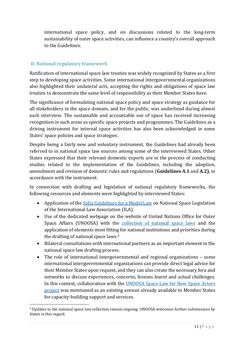international space policy, and on discussions related to the long-term sustainability of outer space activities, can influence a country's overall approach to the Guidelines.

#### <span id="page-11-0"></span>**II. National regulatory framework**

Ratification of international space law treaties was widely recognized by States as a first step to developing space activities. Some international intergovernmental organizations also highlighted their unilateral acts, accepting the rights and obligations of space law treaties to demonstrate the same level of responsibility as their Member States have.

The significance of formulating national space policy and space strategy as guidance for all stakeholders in the space domain, and for the public, was underlined during almost each interview. The sustainable and accountable use of space has received increasing recognition in such areas as specific space projects and programmes. The Guidelines as a driving instrument for internal space activities has also been acknowledged in some States' space policies and space strategies.

Despite being a fairly new and voluntary instrument, the Guidelines had already been referred to in national space law sources among some of the interviewed States. Other States expressed that their relevant domestic experts are in the process of conducting studies related to the implementation of the Guidelines, including the adoption, amendment and revision of domestic rules and regulations (**Guidelines A.1** and **A.2)**, in accordance with the instrument.

In connection with drafting and legislation of national regulatory frameworks, the following resources and elements were highlighted by interviewed States:

- Application of the [Sofia Guidelines for a Model Law](https://www.unoosa.org/pdf/limited/c2/AC105_C2_2013_CRP06E.pdf) on National Space Legislation of the International Law Association (ILA).
- Use of the dedicated webpage on the website of United Nations Office for Outer Space Affairs (UNOOSA) with the [collection of national space laws](https://www.unoosa.org/oosa/en/ourwork/spacelaw/nationalspacelaw/index.html) and the application of elements most fitting for national institutions and priorities during the drafting of national space laws. 4
- Bilateral consultations with international partners as an important element in the national space law drafting process.
- The role of international intergovernmental and regional organizations some international intergovernmental organizations can provide direct legal advice for their Member States upon request, and they can also create the necessary fora and networks to discuss experiences, concerns, lessons learnt and actual challenges. In this context, collaboration with the UNOOSA Space Law for New Space Actors project was mentioned as an existing avenue already available to Member States for capacity-building support and services.

<sup>4</sup> Updates to the national space law collection remain ongoing. UNOOSA welcomes further submissions by States in this regard.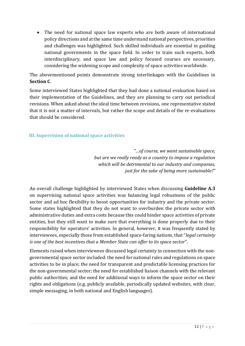• The need for national space law experts who are both aware of international policy directions and at the same time understand national perspectives, priorities and challenges was highlighted. Such skilled individuals are essential in guiding national governments in the space field. In order to train such experts, both interdisciplinary, and space law and policy focused courses are necessary, considering the widening scope and complexity of space activities worldwide.

The abovementioned points demonstrate strong interlinkages with the Guidelines in **Section C**.

Some interviewed States highlighted that they had done a national evaluation based on their implementation of the Guidelines, and they are planning to carry out periodical revisions. When asked about the ideal time between revisions, one representative stated that it is not a matter of intervals, but rather the scope and details of the re-evaluations that should be considered.

#### <span id="page-12-0"></span>**III. Supervision of national space activities**

*"…of course, we want sustainable space, but are we really ready as a country to impose a regulation which will be detrimental to our industry and companies, just for the sake of being more sustainable?"*

An overall challenge highlighted by interviewed States when discussing **Guideline A.3**  on supervising national space activities was balancing legal robustness of the public sector and ad hoc flexibility to boost opportunities for industry and the private sector. Some states highlighted that they do not want to overburden the private sector with administrative duties and extra costs because this could hinder space activities of private entities, but they still want to make sure that everything is done properly due to their responsibility for operators' activities. In general, however, it was frequently stated by interviewees, especially those from established space-faring nations, that "*legal certainty is one of the best incentives that a Member State can offer to its space sector*".

Elements raised when interviewees discussed legal certainty in connection with the nongovernmental space sector included: the need for national rules and regulations on space activities to be in place; the need for transparent and predictable licensing practices for the non-governmental sector; the need for established liaison channels with the relevant public authorities; and the need for additional ways to inform the space sector on their rights and obligations (e.g. publicly available, periodically updated websites, with clear, simple messaging, in both national and English languages).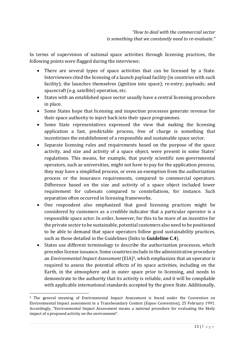In terms of supervision of national space activities through licensing practices, the following points were flagged during the interviews:

- There are several types of space activities that can be licensed by a State. Interviewees cited the licensing of a launch payload facility (in countries with such facility); the launches themselves (ignition into space); re-entry; payloads; and spacecraft (e.g. satellite) operation, etc.
- States with an established space sector usually have a central licensing procedure in place.
- Some States hope that licensing and inspection processes generate revenue for their space authority to inject back into their space programmes.
- Some State representatives expressed the view that making the licensing application a fast, predictable process, free of charge is something that incentivizes the establishment of a responsible and sustainable space sector.
- Separate licensing rules and requirements based on the purpose of the space activity, and size and activity of a space object, were present in some States' regulations. This means, for example, that purely scientific non-governmental operators, such as universities, might not have to pay for the application process, they may have a simplified process, or even an exemption from the authorization process or the insurance requirements, compared to commercial operators. Difference based on the size and activity of a space object included lower requirement for cubesats compared to constellations, for instance. Such separation often occurred in licensing frameworks.
- One respondent also emphasized that good licensing practices might be considered by customers as a credible indicator that a particular operator is a responsible space actor. In order, however, for this to be more of an incentive for the private sector to be sustainable, potential customers also need to be positioned to be able to demand that space operators follow good sustainability practices, such as those detailed in the Guidelines (links to **Guideline C.4**).
- States use different terminology to describe the authorization processes, which precedes license issuance. Some countries include in the administrative procedure an *Environmental Impact Assessment* (EIA)5, which emphasizes that an operator is required to assess the potential effects of its space activities, including on the Earth, in the atmosphere and in outer space prior to licensing, and needs to demonstrate to the authority that its activity is reliable, and it will be compliable with applicable international standards accepted by the given State. Additionally,

<sup>5</sup> The general meaning of Environmental Impact Assessment is found under the Convention on Environmental Impact assessment in a Transboundary Context (Espoo Convention), 25 February 1991. Accordingly, "Environmental Impact Assessment means a national procedure for evaluating the likely impact of a proposed activity on the environment".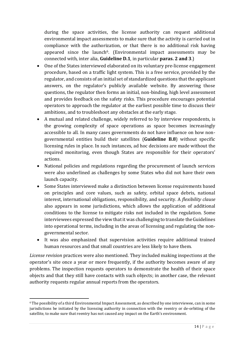during the space activities, the license authority can request additional environmental impact assessments to make sure that the activity is carried out in compliance with the authorization, or that there is no additional risk having appeared since the launch<sup>6</sup>. (Environmental impact assessments may be connected with, inter alia, **Guideline D.1**, in particular **paras. 2 and 3**.)

- One of the States interviewed elaborated on its voluntary pre-license engagement procedure, based on a traffic light system. This is a free service, provided by the regulator, and consists of an initial set of standardized questions that the applicant answers, on the regulator's publicly available website. By answering those questions, the regulator then forms an initial, non-binding, high level assessment and provides feedback on the safety risks. This procedure encourages potential operators to approach the regulator at the earliest possible time to discuss their ambitions, and to troubleshoot any obstacles at the early stage.
- A mutual and related challenge, widely referred to by interview respondents, is the growing complexity of space operations as space becomes increasingly accessible to all. In many cases governments do not have influence on how nongovernmental entities build their satellites (**Guideline B.8**) without specific licensing rules in place. In such instances, ad hoc decisions are made without the required monitoring, even though States are responsible for their operators' actions.
- National policies and regulations regarding the procurement of launch services were also underlined as challenges by some States who did not have their own launch capacity.
- Some States interviewed make a distinction between license requirements based on principles and core values, such as safety, orbital space debris, national interest, international obligations, responsibility, and security. A *flexibility clause* also appears in some jurisdictions, which allows the application of additional conditions to the license to mitigate risks not included in the regulation. Some interviewees expressed the view that it was challenging to translate the Guidelines into operational terms, including in the areas of licensing and regulating the nongovernmental sector.
- It was also emphasized that supervision activities require additional trained human resources and that small countries are less likely to have them.

*License revision* practices were also mentioned. They included making inspections at the operator's site once a year or more frequently, if the authority becomes aware of any problems. The inspection requests operators to demonstrate the health of their space objects and that they still have contacts with such objects; in another case, the relevant authority requests regular annual reports from the operators.

<sup>6</sup> The possibility of a third Environmental Impact Assessment, as described by one interviewee, can in some jurisdictions be initiated by the licensing authority in connection with the reentry or de-orbiting of the satellite, to make sure that reentry has not caused any impact on the Earth's environment.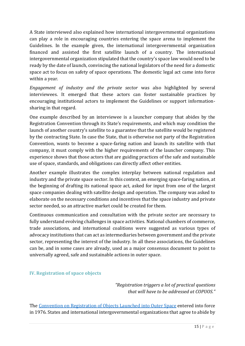A State interviewed also explained how international intergovernmental organizations can play a role in encouraging countries entering the space arena to implement the Guidelines. In the example given, the international intergovernmental organization financed and assisted the first satellite launch of a country. The international intergovernmental organization stipulated that the country's space law would need to be ready by the date of launch, convincing the national legislators of the need for a domestic space act to focus on safety of space operations. The domestic legal act came into force within a year.

*Engagement of industry and the private sector* was also highlighted by several interviewees. It emerged that these actors can foster sustainable practices by encouraging institutional actors to implement the Guidelines or support informationsharing in that regard.

One example described by an interviewee is a launcher company that abides by the Registration Convention through its State's requirements, and which may condition the launch of another country's satellite to a guarantee that the satellite would be registered by the contracting State. In case the State, that is otherwise not party of the Registration Convention, wants to become a space-faring nation and launch its satellite with that company, it must comply with the higher requirements of the launcher company. This experience shows that those actors that are guiding practices of the safe and sustainable use of space, standards, and obligations can directly affect other entities.

Another example illustrates the complex interplay between national regulation and industry and the private space sector. In this context, an emerging space-faring nation, at the beginning of drafting its national space act, asked for input from one of the largest space companies dealing with satellite design and operation. The company was asked to elaborate on the necessary conditions and incentives that the space industry and private sector needed, so an attractive market could be created for them.

Continuous communication and consultation with the private sector are necessary to fully understand evolving challenges in space activities. National chambers of commerce, trade associations, and international coalitions were suggested as various types of advocacy institutions that can act as intermediaries between government and the private sector, representing the interest of the industry. In all these associations, the Guidelines can be, and in some cases are already, used as a major consensus document to point to universally agreed, safe and sustainable actions in outer space.

#### <span id="page-15-0"></span>**IV. Registration of space objects**

*"Registration triggers a lot of practical questions that will have to be addressed at COPUOS."*

The [Convention on Registration of Objects Launched into Outer Space](https://www.unoosa.org/oosa/en/ourwork/spacelaw/treaties/registration-convention.html) entered into force in 1976. States and international intergovernmental organizations that agree to abide by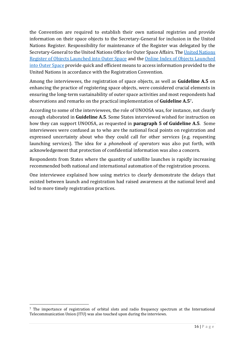the Convention are required to establish their own national registries and provide information on their space objects to the Secretary-General for inclusion in the United Nations Register. Responsibility for maintenance of the Register was delegated by the Secretary-General to the United Nations Office for Outer Space Affairs. Th[e United Nations](https://www.unoosa.org/oosa/en/spaceobjectregister/submissions/states-organisations.html)  [Register of Objects Launched into Outer Space](https://www.unoosa.org/oosa/en/spaceobjectregister/submissions/states-organisations.html) and the [Online Index of Objects Launched](https://www.unoosa.org/oosa/osoindex/search-ng.jspx?lf_id=)  [into Outer Space](https://www.unoosa.org/oosa/osoindex/search-ng.jspx?lf_id=) provide quick and efficient means to access information provided to the United Nations in accordance with the Registration Convention.

Among the interviewees, the registration of space objects, as well as **Guideline A.5** on enhancing the practice of registering space objects, were considered crucial elements in ensuring the long-term sustainability of outer space activities and most respondents had observations and remarks on the practical implementation of **Guideline A.5**7**.**

According to some of the interviewees, the role of UNOOSA was, for instance, not clearly enough elaborated in **Guideline A.5**. Some States interviewed wished for instruction on how they can support UNOOSA, as requested in **paragraph 5 of Guideline A.5**. Some interviewees were confused as to who are the national focal points on registration and expressed uncertainty about who they could call for other services (e.g. requesting launching services). The idea for a *phonebook of operators* was also put forth, with acknowledgement that protection of confidential information was also a concern.

Respondents from States where the quantity of satellite launches is rapidly increasing recommended both national and international automation of the registration process.

One interviewee explained how using metrics to clearly demonstrate the delays that existed between launch and registration had raised awareness at the national level and led to more timely registration practices.

<sup>7</sup> The importance of registration of orbital slots and radio frequency spectrum at the International Telecommunication Union (ITU) was also touched upon during the interviews.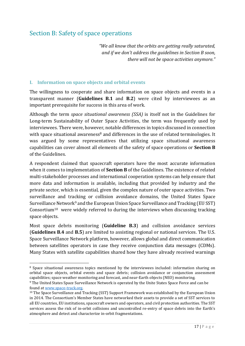### <span id="page-17-0"></span>Section B: Safety of space operations

*"We all know that the orbits are getting really saturated, and if we don't address the guidelines in Section B soon, there will not be space activities anymore."*

#### <span id="page-17-1"></span>**I. Information on space objects and orbital events**

The willingness to cooperate and share information on space objects and events in a transparent manner (**Guidelines B.1** and **B.2**) were cited by interviewees as an important prerequisite for success in this area of work.

Although the term *space situational awareness (SSA)* is itself not in the Guidelines for Long-term Sustainability of Outer Space Activities, the term was frequently used by interviewees. There were, however, notable differences in topics discussed in connection with space situational awareness<sup>8</sup> and differences in the use of related terminologies. It was argued by some representatives that utilizing space situational awareness capabilities can cover almost all elements of the safety of space operations or **Section B** of the Guidelines.

A respondent claimed that spacecraft operators have the most accurate information when it comes to implementation of **Section B** of the Guidelines. The existence of related multi-stakeholder processes and international cooperation systems can help ensure that more data and information is available, including that provided by industry and the private sector, which is essential, given the complex nature of outer space activities. Two surveillance and tracking or collision avoidance domains, the United States Space Surveillance Network<sup>9</sup> and the European Union Space Surveillance and Tracking (EU SST) Consortium<sup>10</sup> were widely referred to during the interviews when discussing tracking space objects.

Most space debris monitoring (**Guideline B.3**) and collision avoidance services (**Guidelines B.4** and **B.5**) are limited to assisting regional or national services. The U.S. Space Surveillance Network platform, however, allows global and direct communication between satellites operators in case they receive conjunction data messages (CDMs). Many States with satellite capabilities shared how they have already received warnings

<sup>8</sup> Space situational awareness topics mentioned by the interviewees included: information sharing on orbital space objects, orbital events and space debris; collision avoidance or conjunction assessment capabilities; space weather monitoring and forecast, and near-Earth objects (NEO) monitoring.

<sup>&</sup>lt;sup>9</sup> The United States Space Surveillance Network is operated by the Unite States Space Force and can be found a[t www.space-track.org.](http://www.space-track.org/)

<sup>&</sup>lt;sup>10</sup> The Space Surveillance and Tracking (SST) Support Framework was established by the European Union in 2014. The Consortium's Member States have networked their assets to provide a set of SST services to all EU countries, EU institutions, spacecraft owners and operators, and civil protection authorities. The SST services assess the risk of in-orbit collisions and uncontrolled re-entry of space debris into the Earth's atmosphere and detect and characterize in-orbit fragmentations.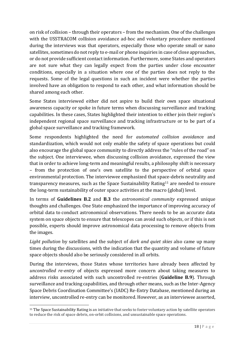on risk of collision – through their operators – from the mechanism. One of the challenges with the USSTRACOM collision avoidance ad-hoc and voluntary procedure mentioned during the interviews was that operators, especially those who operate small or nano satellites, sometimes do not reply to e-mail or phone inquiries in case of close approaches, or do not provide sufficient contact information. Furthermore, some States and operators are not sure what they can legally expect from the parties under close encounter conditions, especially in a situation where one of the parties does not reply to the requests. Some of the legal questions in such an incident were whether the parties involved have an obligation to respond to each other, and what information should be shared among each other.

Some States interviewed either did not aspire to build their own space situational awareness capacity or spoke in future terms when discussing surveillance and tracking capabilities. In these cases, States highlighted their intention to either join their region's independent regional space surveillance and tracking infrastructure or to be part of a global space surveillance and tracking framework.

Some respondents highlighted the need for *automated collision avoidanc*e and standardization, which would not only enable the safety of space operations but could also encourage the global space community to directly address the "rules of the road" on the subject. One interviewee, when discussing collision avoidance, expressed the view that in order to achieve long-term and meaningful results, a philosophy shift is necessary – from the protection of one's own satellite to the perspective of orbital space environmental protection. The interviewee emphasized that space-debris neutrality and transparency measures, such as the [Space Sustainability Rating](https://espace.epfl.ch/research/space-sustainability-rating/)<sup>11</sup> are needed to ensure the long-term sustainability of outer space activities at the macro (global) level.

In terms of **Guidelines B.2** and **B.3** the *astronomical community* expressed unique thoughts and challenges. One State emphasized the importance of improving accuracy of orbital data to conduct astronomical observations. There needs to be an accurate data system on space objects to ensure that telescopes can avoid such objects, or if this is not possible, experts should improve astronomical data processing to remove objects from the images.

*Light pollution* by satellites and the subject of *dark and quiet skies* also came up many times during the discussions, with the indication that the quantity and volume of future space objects should also be seriously considered in all orbits.

During the interviews, those States whose territories have already been affected by *uncontrolled re-entry* of objects expressed more concern about taking measures to address risks associated with such uncontrolled re-entries (**Guideline B.9**). Through surveillance and tracking capabilities, and through other means, such as the Inter-Agency Space Debris Coordination Committee's (IADC) Re-Entry Database, mentioned during an interview, uncontrolled re-entry can be monitored. However, as an interviewee asserted,

<sup>11</sup> The Space Sustainability Rating is an initiative that seeks to foster voluntary action by satellite operators to reduce the risk of space debris, on-orbit collisions, and unsustainable space operations.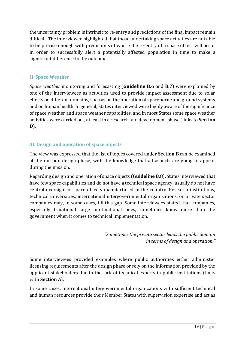the uncertainty problem is intrinsic to re-entry and predictions of the final impact remain difficult. The interviewee highlighted that those undertaking space activities are not able to be precise enough with predictions of where the re-entry of a space object will occur in order to successfully alert a potentially affected population in time to make a significant difference to the outcome.

#### <span id="page-19-0"></span>**II. Space Weather**

*Space weather* monitoring and forecasting (**Guideline B.6** and **B.7**) were explained by one of the interviewees as activities used to provide impact assessment due to solar effects on different domains, such as on the operation of spaceborne and ground systems and on human health. In general, States interviewed were highly aware of the significance of space weather and space weather capabilities, and in most States some space weather activities were carried out, at least in a research and development phase (links to **Section D**).

#### <span id="page-19-1"></span>**III. Design and operation of space objects**

The view was expressed that the list of topics covered under **Section B** can be examined at the mission design phase, with the knowledge that all aspects are going to appear during the mission.

Regarding design and operation of space objects (**Guideline B.8**), States interviewed that have few space capabilities and do not have a technical space agency, usually do not have central oversight of space objects manufactured in the country. Research institutions, technical universities, international intergovernmental organizations, or private sector companies may, in some cases, fill this gap. Some interviewees stated that companies, especially traditional large multinational ones, sometimes know more than the government when it comes to technical implementation.

> *"Sometimes the private sector leads the public domain in terms of design and operation."*

Some interviewees provided examples where public authorities either administer licensing requirements after the design phase or rely on the information provided by the applicant stakeholders due to the lack of technical experts in public institutions (links with **Section A**).

In some cases, international intergovernmental organizations with sufficient technical and human resources provide their Member States with supervision expertise and act as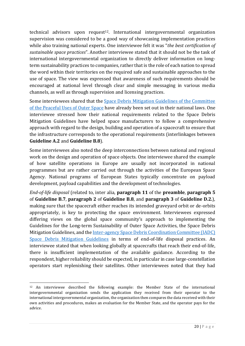technical advisors upon request<sup>12</sup>. International intergovernmental organization supervision was considered to be a good way of showcasing implementation practices while also training national experts. One interviewee felt it was "*the best certification of sustainable space practices*". Another interviewee stated that it should not be the task of international intergovernmental organization to directly deliver information on longterm sustainability practices to companies, rather that is the role of each nation to spread the word within their territories on the required safe and sustainable approaches to the use of space. The view was expressed that awareness of such requirements should be encouraged at national level through clear and simple messaging in various media channels, as well as through supervision and licensing practices.

Some interviewees shared that the [Space Debris Mitigation Guidelines of the Committee](https://www.unoosa.org/pdf/publications/st_space_49E.pdf)  [of the Peaceful Uses of Outer Space](https://www.unoosa.org/pdf/publications/st_space_49E.pdf) have already been set out in their national laws. One interviewee stressed how their national requirements related to the Space Debris Mitigation Guidelines have helped space manufacturers to follow a comprehensive approach with regard to the design, building and operation of a spacecraft to ensure that the infrastructure corresponds to the operational requirements (interlinkages between **Guideline A.2** and **Guideline B.8**).

Some interviewees also noted the deep interconnections between national and regional work on the design and operation of space objects. One interviewee shared the example of how satellite operations in Europe are usually not incorporated in national programmes but are rather carried out through the activities of the European Space Agency. National programs of European States typically concentrate on payload development, payload capabilities and the development of technologies.

*End-of-life disposal* (related to, inter alia, **paragraph 11** of the **preamble**, **paragraph 5** of **Guideline B.7**, **paragraph 2** of **Guideline B.8**, and **paragraph 3** of **Guideline D.2.**), making sure that the spacecraft either reaches its intended graveyard orbit or de-orbits appropriately, is key to protecting the space environment. Interviewees expressed differing views on the global space community's approach to implementing the Guidelines for the Long-term Sustainability of Outer Space Activities, the Space Debris Mitigation Guidelines, and th[e Inter-agency Space Debris Coordination Committee \(IADC\)](https://www.iadc-home.org/documents_public/view/page/1/id/172#u)  [Space Debris Mitigation Guidelines](https://www.iadc-home.org/documents_public/view/page/1/id/172#u) in terms of end-of-life disposal practices. An interviewee stated that when looking globally at spacecrafts that reach their end-of-life, there is insufficient implementation of the available guidance. According to the respondent, higher reliability should be expected, in particular in case large-constellation operators start replenishing their satellites. Other interviewees noted that they had

<sup>12</sup> An interviewee described the following example: the Member State of the international intergovernmental organization sends the application they received from their operator to the international intergovernmental organization, the organization then compares the data received with their own activities and procedures, makes an evaluation for the Member State, and the operator pays for the advice.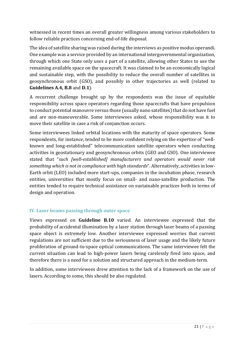witnessed in recent times an overall greater willingness among various stakeholders to follow reliable practices concerning end-of-life disposal.

The idea of satellite sharing was raised during the interviews as positive modus operandi. One example was a service provided by an international intergovernmental organization, through which one State only uses a part of a satellite, allowing other States to use the remaining available space on the spacecraft. It was claimed to be an economically logical and sustainable step, with the possibility to reduce the overall number of satellites in geosynchronous orbit (GSO), and possibly in other trajectories as well (related to **Guidelines A.4, B.8** and **D.1**).

A recurrent challenge brought up by the respondents was the issue of equitable responsibility across space operators regarding those spacecrafts that have propulsion to conduct potential manouvre versus those (usually nano satellites) that do not have fuel and are non-maneuverable. Some interviewees asked, whose responsibility was it to move their satellite in case a risk of conjunction occurs.

Some interviewees linked orbital locations with the maturity of space operators. Some respondents, for instance, tended to be more confident relying on the expertise of "wellknown and long-established" telecommunication satellite operators when conducting activities in geostationary and geosynchronous orbits (GEO and GSO). One interviewee stated that "*such [well-established] manufacturers and operators would never risk something which is not in compliance with high standards*". Alternatively, activities in low-Earth orbit (LEO) included more start-ups, companies in the incubation phase, research entities, universities that mostly focus on small- and nano-satellite production. The entities tended to require technical assistance on sustainable practices both in terms of design and operation.

#### <span id="page-21-0"></span>**IV. Laser beams passing through outer space**

Views expressed on **Guideline B.10** varied. An interviewee expressed that the probability of accidental illumination by a laser station through laser beams of a passing space object is extremely low. Another interviewee expressed worries that current regulations are not sufficient due to the seriousness of laser usage and the likely future proliferation of ground-to-space optical communications. The same interviewee felt the current situation can lead to high-power lasers being carelessly fired into space, and therefore there is a need for a solution and structured approach in the medium-term.

In addition, some interviewees drew attention to the lack of a framework on the use of lasers. According to some, this should be also regulated.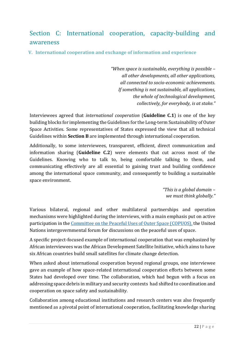### <span id="page-22-0"></span>Section C: International cooperation, capacity-building and awareness

<span id="page-22-1"></span>**V. International cooperation and exchange of information and experience**

*"When space is sustainable, everything is possible – all other developments, all other applications, all connected to socio-economic achievements. If something is not sustainable, all applications, the whole of technological development, collectively, for everybody, is at stake."*

Interviewees agreed that *international cooperation* (**Guideline C.1**) is one of the key building blocks for implementing the Guidelines for the Long-term Sustainability of Outer Space Activities. Some representatives of States expressed the view that all technical Guidelines within **Section B** are implemented through international cooperation.

Additionally, to some interviewees, transparent, efficient, direct communication and information sharing (**Guideline C.2**) were elements that cut across most of the Guidelines. Knowing who to talk to, being comfortable talking to them, and communicating effectively are all essential to gaining trust and building confidence among the international space community, and consequently to building a sustainable space environment.

> *"This is a global domain – we must think globally."*

Various bilateral, regional and other multilateral partnerships and operation mechanisms were highlighted during the interviews, with a main emphasis put on active participation in the [Committee on the Peaceful Uses of Outer Space \(COPUOS\),](https://www.unoosa.org/oosa/en/ourwork/copuos/current.html) the United Nations intergovernmental forum for discussions on the peaceful uses of space.

A specific project-focused example of international cooperation that was emphasized by African interviewees was the African Development Satellite Initiative, which aims to have six African countries build small satellites for climate change detection.

When asked about international cooperation beyond regional groups, one interviewee gave an example of how space-related international cooperation efforts between some States had developed over time. The collaboration, which had begun with a focus on addressing space debris in military and security contexts had shifted to coordination and cooperation on space safety and sustainability.

Collaboration among educational institutions and research centers was also frequently mentioned as a pivotal point of international cooperation, facilitating knowledge sharing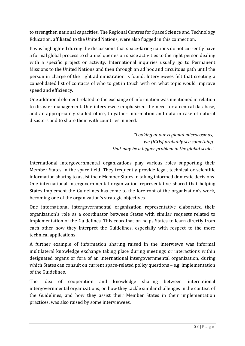to strengthen national capacities. The Regional Centres for Space Science and Technology Education, affiliated to the United Nations, were also flagged in this connection.

It was highlighted during the discussions that space-faring nations do not currently have a formal global process to channel queries on space activities to the right person dealing with a specific project or activity. International inquiries usually go to Permanent Missions to the United Nations and then through an ad hoc and circuitous path until the person in charge of the right administration is found. Interviewees felt that creating a consolidated list of contacts of who to get in touch with on what topic would improve speed and efficiency.

One additional element related to the exchange of information was mentioned in relation to disaster management. One interviewee emphasized the need for a central database, and an appropriately staffed office, to gather information and data in case of natural disasters and to share them with countries in need.

> *"Looking at our regional microcosmos, we [IGOs] probably see something that may be a bigger problem in the global scale."*

International intergovernmental organizations play various roles supporting their Member States in the space field. They frequently provide legal, technical or scientific information sharing to assist their Member States in taking informed domestic decisions. One international intergovernmental organization representative shared that helping States implement the Guidelines has come to the forefront of the organization's work, becoming one of the organization's strategic objectives.

One international intergovernmental organization representative elaborated their organization's role as a coordinator between States with similar requests related to implementation of the Guidelines. This coordination helps States to learn directly from each other how they interpret the Guidelines, especially with respect to the more technical applications.

A further example of information sharing raised in the interviews was informal multilateral knowledge exchange taking place during meetings or interactions within designated organs or fora of an international intergovernmental organization, during which States can consult on current space-related policy questions – e.g. implementation of the Guidelines.

The idea of cooperation and knowledge sharing between international intergovernmental organizations, on how they tackle similar challenges in the context of the Guidelines, and how they assist their Member States in their implementation practices, was also raised by some interviewees.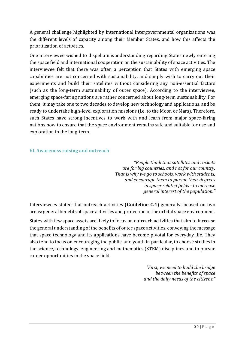A general challenge highlighted by international intergovernmental organizations was the different levels of capacity among their Member States, and how this affects the prioritization of activities.

One interviewee wished to dispel a misunderstanding regarding States newly entering the space field and international cooperation on the sustainability of space activities. The interviewee felt that there was often a perception that States with emerging space capabilities are not concerned with sustainability, and simply wish to carry out their experiments and build their satellites without considering any non-essential factors (such as the long-term sustainability of outer space). According to the interviewee, emerging space-faring nations are rather concerned about long-term sustainability. For them, it may take one to two decades to develop new technology and applications, and be ready to undertake high-level exploration missions (i.e. to the Moon or Mars). Therefore, such States have strong incentives to work with and learn from major space-faring nations now to ensure that the space environment remains safe and suitable for use and exploration in the long-term.

#### <span id="page-24-0"></span>**VI. Awareness raising and outreach**

*"People think that satellites and rockets are for big countries, and not for our country. That is why we go to schools, work with students, and encourage them to pursue their degrees in space-related fields - to increase general interest of the population."*

Interviewees stated that outreach activities (**Guideline C.4)** generally focused on two areas: general benefits of space activities and protection of the orbital space environment.

States with few space assets are likely to focus on outreach activities that aim to increase the general understanding of the benefits of outer space activities, conveying the message that space technology and its applications have become pivotal for everyday life. They also tend to focus on encouraging the public, and youth in particular, to choose studies in the science, technology, engineering and mathematics (STEM) disciplines and to pursue career opportunities in the space field.

> *"First, we need to build the bridge between the benefits of space and the daily needs of the citizens."*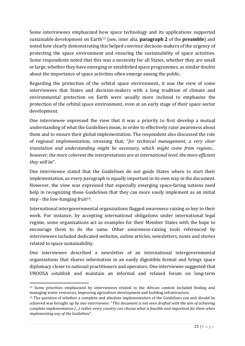Some interviewees emphasized how space technology and its applications supported sustainable development on Earth<sup>13</sup> (see, inter alia, **paragraph 2** of the **preamble**) and noted how clearly demonstrating this helped convince decision-makers of the urgency of protecting the space environment and ensuring the sustainability of space activities. Some respondents noted that this was a necessity for all States, whether they are small or large, whether they have emerging or established space programmes, as similar doubts about the importance of space activities often emerge among the public.

Regarding the protection of the orbital space environment, it was the view of some interviewees that States and decision-makers with a long tradition of climate and environmental protection on Earth were usually more inclined to emphasize the protection of the orbital space environment, even at an early stage of their space sector development.

One interviewee expressed the view that it was a priority to first develop a mutual understanding of what the Guidelines mean, in order to effectively raise awareness about them and to ensure their global implementation. The respondent also discussed the role of regional implementation, stressing that, "*for technical management, a very clear translation and understanding might be necessary, which might come from regions… however, the more coherent the interpretations are at international level, the more efficient they will be*".

One interviewee stated that the Guidelines do not guide States where to start their implementation, as every paragraph is equally important in its own way in the document. However, the view was expressed that especially emerging space-faring nations need help in recognizing those Guidelines that they can more easily implement as an initial step - the low-hanging fruit<sup>14</sup>.

International intergovernmental organizations flagged awareness-raising as key to their work. For instance, by accepting international obligations under international legal regime, some organizations act as examples for their Member States with the hope to encourage them to do the same. Other awareness-raising tools referenced by interviewees included dedicated websites, online articles, newsletters, notes and stories related to space sustainability.

One interviewee described a newsletter of an international intergovernmental organizations that shares information in an easily digestible format and brings space diplomacy closer to national practitioners and operators. One interviewee suggested that UNOOSA establish and maintain an informal and relaxed forum on long-term

<sup>&</sup>lt;sup>13</sup> Some priorities emphasized by interviewees related to the African context included finding and managing water resources, improving agriculture development and building infrastructure.

<sup>14</sup> The question of whether a complete and absolute implementation of the Guidelines can and should be achieved was brought up by one interviewee: "*This document is not even drafted with the aim of achieving complete implementation (...) rather every country can choose what is feasible and important for them when implementing any of the Guidelines*".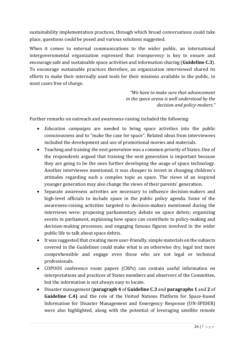sustainability implementation practices, through which broad conversations could take place, questions could be posed and various solutions suggested.

When it comes to external communications to the wider public, an international intergovernmental organization expressed that *transparency* is key to ensure and encourage safe and sustainable space activities and information sharing (**Guideline C.3**). To encourage sustainable practices therefore, an organization interviewed shared its efforts to make their internally used tools for their missions available to the public, in most cases free of charge.

> *"We have to make sure that advancement in the space arena is well understood by the decision and policy-makers."*

Further remarks on outreach and awareness-raising included the following:

- *Education campaigns* are needed to bring space activities into the public consciousness and to "make the case for space". Related ideas from interviewees included the development and use of promotional movies and materials.
- Teaching and training *the next generation* was a common priority of States. One of the respondents argued that training the next generation is important because they are going to be the ones further developing the usage of space technology. Another interviewee mentioned, it was cheaper to invest in changing children's attitudes regarding such a complex topic as space. The views of an inspired younger generation may also change the views of their parents' generation.
- Separate awareness activities are necessary to influence decision-makers and high-level officials to include space in the public policy agenda. Some of the awareness-raising activities targeted to decision-makers mentioned during the interviews were: proposing parliamentary debate on space debris; organizing events in parliament, explaining how space can contribute to policy-making and decision-making processes; and engaging famous figures involved in the wider public life to talk about space debris.
- It was suggested that creating more user-friendly, simple materials on the subjects covered in the Guidelines could make what is an otherwise dry, legal text more comprehensible and engage even those who are not legal or technical professionals.
- COPUOS conference room papers (CRPs) can contain useful information on interpretations and practices of States members and observers of the Committee, but the information is not always easy to locate.
- Disaster management (**paragraph 4** of **Guideline C.3** and **paragraphs 1** and **2** of **Guideline C.4)** and the role of the United Nations Platform for Space-based Information for Disaster Management and Emergency Response (UN-SPIDER) were also highlighted, along with the potential of leveraging satellite remote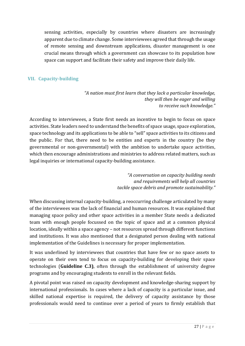sensing activities, especially by countries where disasters are increasingly apparent due to climate change. Some interviewees agreed that through the usage of remote sensing and downstream applications, disaster management is one crucial means through which a government can showcase to its population how space can support and facilitate their safety and improve their daily life.

#### <span id="page-27-0"></span>**VII. Capacity-building**

*"A nation must first learn that they lack a particular knowledge, they will then be eager and willing to receive such knowledge."*

According to interviewees, a State first needs an incentive to begin to focus on space activities. State leaders need to understand the benefits of space usage, space exploration, space technology and its applications to be able to "sell" space activities to its citizens and the public. For that, there need to be entities and experts in the country (be they governmental or non-governmental) with the ambition to undertake space activities, which then encourage administrations and ministries to address related matters, such as legal inquiries or international capacity-building assistance.

> *"A conversation on capacity building needs and requirements will help all countries tackle space debris and promote sustainability."*

When discussing internal capacity-building, a reoccurring challenge articulated by many of the interviewees was the lack of financial and human resources. It was explained that managing space policy and other space activities in a member State needs a dedicated team with enough people focussed on the topic of space and at a common physical location, ideally within a space agency – not resources spread through different functions and institutions. It was also mentioned that a designated person dealing with national implementation of the Guidelines is necessary for proper implementation.

It was underlined by interviewees that countries that have few or no space assets to operate on their own tend to focus on capacity-building for developing their space technologies (**Guideline C.3)**, often through the establishment of university degree programs and by encouraging students to enroll in the relevant fields.

A pivotal point was raised on capacity development and knowledge-sharing support by international professionals. In cases where a lack of capacity is a particular issue, and skilled national expertise is required, the delivery of capacity assistance by those professionals would need to continue over a period of years to firmly establish that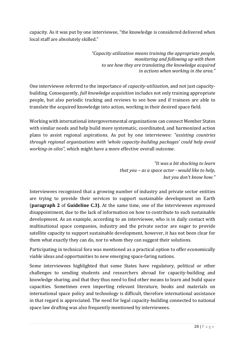capacity. As it was put by one interviewee, "the knowledge is considered delivered when local staff are absolutely skilled."

> *"Capacity utilization means training the appropriate people, monitoring and following up with them to see how they are translating the knowledge acquired in actions when working in the area."*

One interviewee referred to the importance of *capacity-utilization*, and not just capacitybuilding. Consequently, *full knowledge acquisition* includes not only training appropriate people, but also periodic tracking and reviews to see how and if trainees are able to translate the acquired knowledge into action, working in their desired space field.

Working with international intergovernmental organizations can connect Member States with similar needs and help build more systematic, coordinated, and harmonized action plans to assist regional aspirations. As put by one interviewee: *"assisting countries through regional organizations with 'whole capacity-building packages' could help avoid working-in-silos"*, which might have a more effective overall outcome.

> *"It was a bit shocking to learn that you – as a space actor - would like to help, but you don't know how."*

Interviewees recognized that a growing number of industry and private sector entities are trying to provide their services to support sustainable development on Earth (**paragraph 2** of **Guideline C.3)**. At the same time, one of the interviewees expressed disappointment, due to the lack of information on how to contribute to such sustainable development. As an example, according to an interviewee, who is in daily contact with multinational space companies, industry and the private sector are eager to provide satellite capacity to support sustainable development, however, it has not been clear for them what exactly they can do, nor to whom they can suggest their solutions.

Participating in technical fora was mentioned as a practical option to offer economically viable ideas and opportunities to new emerging space-faring nations.

Some interviewees highlighted that some States have regulatory, political or other challenges to sending students and researchers abroad for capacity-building and knowledge sharing, and that they thus need to find other means to learn and build space capacities. Sometimes even importing relevant literature, books and materials on international space policy and technology is difficult, therefore international assistance in that regard is appreciated. The need for legal capacity-building connected to national space law drafting was also frequently mentioned by interviewees.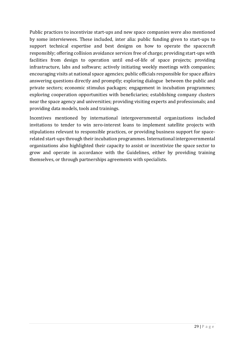Public practices to incentivize start-ups and new space companies were also mentioned by some interviewees. These included, inter alia: public funding given to start-ups to support technical expertise and best designs on how to operate the spacecraft responsibly; offering collision avoidance services free of charge; providing start-ups with facilities from design to operation until end-of-life of space projects; providing infrastructure, labs and software; actively initiating weekly meetings with companies; encouraging visits at national space agencies; public officials responsible for space affairs answering questions directly and promptly; exploring dialogue between the public and private sectors; economic stimulus packages; engagement in incubation programmes; exploring cooperation opportunities with beneficiaries; establishing company clusters near the space agency and universities; providing visiting experts and professionals; and providing data models, tools and trainings.

Incentives mentioned by international intergovernmental organizations included invitations to tender to win zero-interest loans to implement satellite projects with stipulations relevant to responsible practices, or providing business support for spacerelated start-ups through their incubation programmes. International intergovernmental organizations also highlighted their capacity to assist or incentivize the space sector to grow and operate in accordance with the Guidelines, either by providing training themselves, or through partnerships agreements with specialists.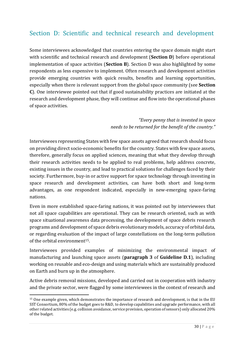### <span id="page-30-0"></span>Section D: Scientific and technical research and development

Some interviewees acknowledged that countries entering the space domain might start with scientific and technical research and development (**Section D**) before operational implementation of space activities (**Section B**). Section D was also highlighted by some respondents as less expensive to implement. Often research and development activities provide emerging countries with quick results, benefits and learning opportunities, especially when there is relevant support from the global space community (see **Section C**). One interviewee pointed out that if good sustainability practices are initiated at the research and development phase, they will continue and flow into the operational phases of space activities.

> *"Every penny that is invested in space needs to be returned for the benefit of the country."*

Interviewees representing States with few space assets agreed that research should focus on providing direct socio-economic benefits for the country. States with few space assets, therefore, generally focus on applied sciences, meaning that what they develop through their research activities needs to be applied to real problems, help address concrete, existing issues in the country, and lead to practical solutions for challenges faced by their society. Furthermore, buy-in or active support for space technology through investing in space research and development activities, can have both short and long-term advantages, as one respondent indicated, especially in new-emerging space-faring nations.

Even in more established space-faring nations, it was pointed out by interviewees that not all space capabilities are operational. They can be research oriented, such as with space situational awareness data processing, the development of space debris research programs and development of space debris evolutionary models, accuracy of orbital data, or regarding evaluation of the impact of large constellations on the long-term pollution of the orbital environment15.

Interviewees provided examples of minimizing the environmental impact of manufacturing and launching space assets (**paragraph 3** of **Guideline D.1**), including working on reusable and eco-design and using materials which are sustainably produced on Earth and burn up in the atmosphere.

Active debris removal missions, developed and carried out in cooperation with industry and the private sector, were flagged by some interviewees in the context of research and

<sup>15</sup> One example given, which demonstrates the importance of research and development, is that in the EU SST Consortium, 80% of the budget goes to R&D, to develop capabilities and upgrade performance, with all other related activities (e.g. collision avoidance, service provision, operation of sensors) only allocated 20% of the budget.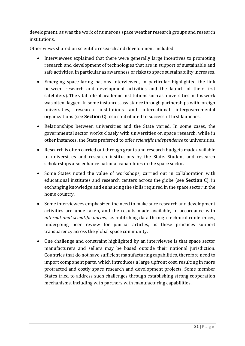development, as was the work of numerous space weather research groups and research institutions.

Other views shared on scientific research and development included:

- Interviewees explained that there were generally large incentives to promoting research and development of technologies that are in support of sustainable and safe activities, in particular as awareness of risks to space sustainability increases.
- Emerging space-faring nations interviewed, in particular highlighted the link between research and development activities and the launch of their first satellite(s). The vital role of academic institutions such as universities in this work was often flagged. In some instances, assistance through partnerships with foreign universities, research institutions and international intergovernmental organizations (see **Section C**) also contributed to successful first launches.
- Relationships between universities and the State varied. In some cases, the governmental sector works closely with universities on space research, while in other instances, the State preferred to offer *scientific independence* to universities.
- Research is often carried out through grants and research budgets made available to universities and research institutions by the State. Student and research scholarships also enhance national capabilities in the space sector.
- Some States noted the value of workshops, carried out in collaboration with educational institutes and research centers across the globe (see **Section C**), in exchanging knowledge and enhancing the skills required in the space sector in the home country.
- Some interviewees emphasized the need to make sure research and development activities are undertaken, and the results made available, in accordance with *international scientific norms*, i.e. publishing data through technical conferences, undergoing peer review for journal articles, as these practices support transparency across the global space community.
- One challenge and constraint highlighted by an interviewee is that space sector manufacturers and sellers may be based outside their national jurisdiction. Countries that do not have sufficient manufacturing capabilities, therefore need to import component parts, which introduces a large upfront cost, resulting in more protracted and costly space research and development projects. Some member States tried to address such challenges through establishing strong cooperation mechanisms, including with partners with manufacturing capabilities.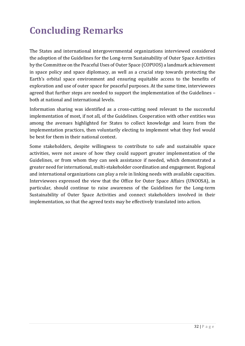# <span id="page-32-0"></span>**Concluding Remarks**

The States and international intergovernmental organizations interviewed considered the adoption of the Guidelines for the Long-term Sustainability of Outer Space Activities by the Committee on the Peaceful Uses of Outer Space (COPUOS) a landmark achievement in space policy and space diplomacy, as well as a crucial step towards protecting the Earth's orbital space environment and ensuring equitable access to the benefits of exploration and use of outer space for peaceful purposes. At the same time, interviewees agreed that further steps are needed to support the implementation of the Guidelines – both at national and international levels.

Information sharing was identified as a cross-cutting need relevant to the successful implementation of most, if not all, of the Guidelines. Cooperation with other entities was among the avenues highlighted for States to collect knowledge and learn from the implementation practices, then voluntarily electing to implement what they feel would be best for them in their national context.

Some stakeholders, despite willingness to contribute to safe and sustainable space activities, were not aware of how they could support greater implementation of the Guidelines, or from whom they can seek assistance if needed, which demonstrated a greater need for international, multi-stakeholder coordination and engagement. Regional and international organizations can play a role in linking needs with available capacities. Interviewees expressed the view that the Office for Outer Space Affairs (UNOOSA), in particular, should continue to raise awareness of the Guidelines for the Long-term Sustainability of Outer Space Activities and connect stakeholders involved in their implementation, so that the agreed texts may be effectively translated into action.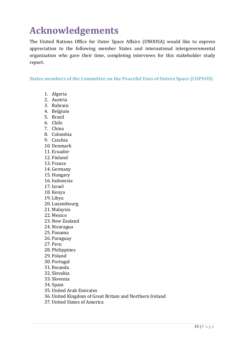## <span id="page-33-0"></span>**Acknowledgements**

The United Nations Office for Outer Space Affairs (UNOOSA) would like to express appreciation to the following member States and international intergovernmental organization who gave their time, completing interviews for this stakeholder study report.

<span id="page-33-1"></span>**States members of the Committee on the Peaceful Uses of Outers Space (COPUOS)**

- 1. Algeria
- 2. Austria
- 3. Bahrain
- 4. Belgium
- 5. Brazil
- 6. Chile
- 7. China
- 8. Colombia
- 9. Czechia
- 10. Denmark
- 11. Ecuador
- 12. Finland
- 13. France
- 14. Germany
- 15. Hungary
- 16. Indonesia
- 17. Israel
- 18. Kenya
- 19. Libya
- 20. Luxembourg
- 21. Malaysia
- 22. Mexico
- 23. New Zealand
- 24. Nicaragua
- 25. Panama
- 26. Paraguay
- 27. Peru
- 28. Philippines
- 29. Poland
- 30. Portugal
- 31. Rwanda
- 32. Slovakia
- 33. Slovenia
- 34. Spain
- 35. United Arab Emirates
- 36. United Kingdom of Great Britain and Northern Ireland
- 37. United States of America